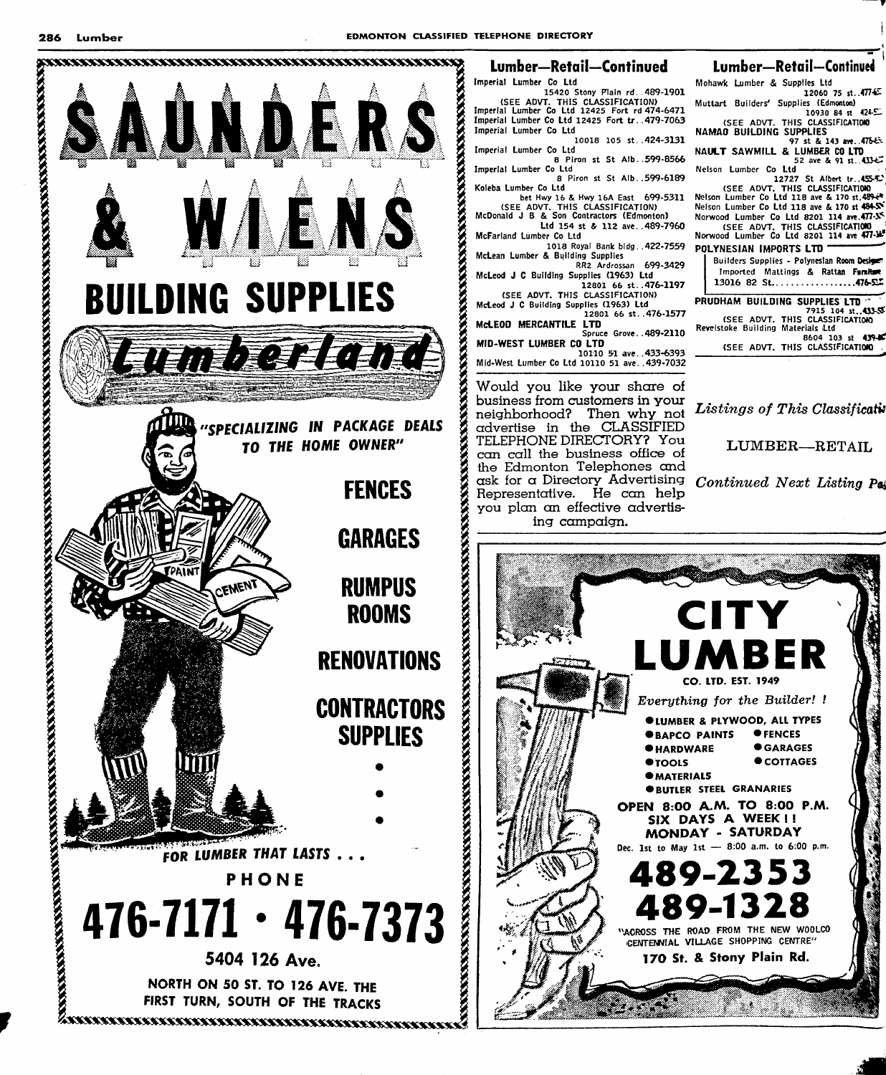

## Lumber—Retail—Continued Lumber—Retail—Continued

Imperial Lumber Co Ltd 15420 Stony Plain rd. 489-1901<br>(SEE ADVT. THIS CLASSIFICATION)<br>Imperial Lumber Co Ltd 12425 Fort rd 474-6471 Imperial Lumber Co Ltd 12425 Fort tr. .479-7063 Imperial Lumber Co Ltd

.424-3131 10018 105 St. Imperial Lumber Co Ltd

8 Piron St St Alb. .599-8566 Imperial Lumber Co Ltd

.599-6189 8 Piron St St Alb. bet Hwy 16 & Hwy 16A East 699-5311 Koleba Lumber Co Ltd

(SEE ADVT. THIS CLASSIFICATION) McDonald J B & Son Contractors (Edmonton)

Ltd 154 st & 112 ave. . 489-7960 McFarland Lumber Co Ltd

1018 Royal Bank bidg. .422-7559 McLean Lumber & Building Supplies RR2 Ardrossan 699-3429

McLeod J C Building Supplies (1963) Ltd 12801 66 St..476-1197 (SEE ADVT. THIS CLASSIFICATION)

McLeod J C Building Supplies (1963) Ltd 12801 66 St. .476-1577

McLEOD MERCANTILE LTD Spruce Grove. .489-2110

MID-WEST LUMBER CO LTD 10110 51 ave. .433-6393

Mid-West Lumber Co Ltd loiio 51 ave. .439-7032

Would you like your share of business from customers in your neighborhood? Then why not advertise in the CLASSIFIED TELEPHONE DIRECTORY? You can call the business office of the Edmonton Telephones and ask for a Directory Advertising Representative. He can help you plan an effective advertis ing campaign.

Mohawk Lumber & Supplies Ltd 12060 75 St..477-451 Muttart Builders' Supplies (Edmontoo)

 $10930 84$  st  $4245$ (SEE ADVT. THIS CLASSIFICATION)<br>NAMAO BUILDING SUPPLIES<br>97 st & 143 ave..47543

NAULT SAWMILL & LUMBER CO LTD Nelson Lumber Co Ltd

Nelson Lumber Co Ltd<br>| 12727 St Albert tr..455-C<br>| (SEE ADVT. THIS CLASSIFICATION)<br>| Nelson Lumber Co Ltd 118 ave & 170 st.489-e4\_ Nelson Lumber Co Ltd 118 ave & 170 st 484-SY

Norwood Lumber Co Ltd 8201 114 ave.477-S<br>(SEE ADVT. THIS CLASSIFICATION)<br>Norwood Lumber Co Ltd 8201 114 ave 477-POLYNESIAN IMPORTS LTD

Builders Supplies - Polynesian Room Designet Imported Mattings & Rattan Furnitum  $13016$  82 St.....................476-52

PRUDHAM BUILDING SUPPLIES LTD 7915 104 \$t..453-5S: (SEE ADVT. THIS CLASSIFICATION) Revelstoke Building Materials ltd 8604 103 st 439-80 (SEE ADVT. THIS CLASSIFICATION) .

Listings of This Classificativ

LUMBER—RETAIL

Continued Next Listing Pai

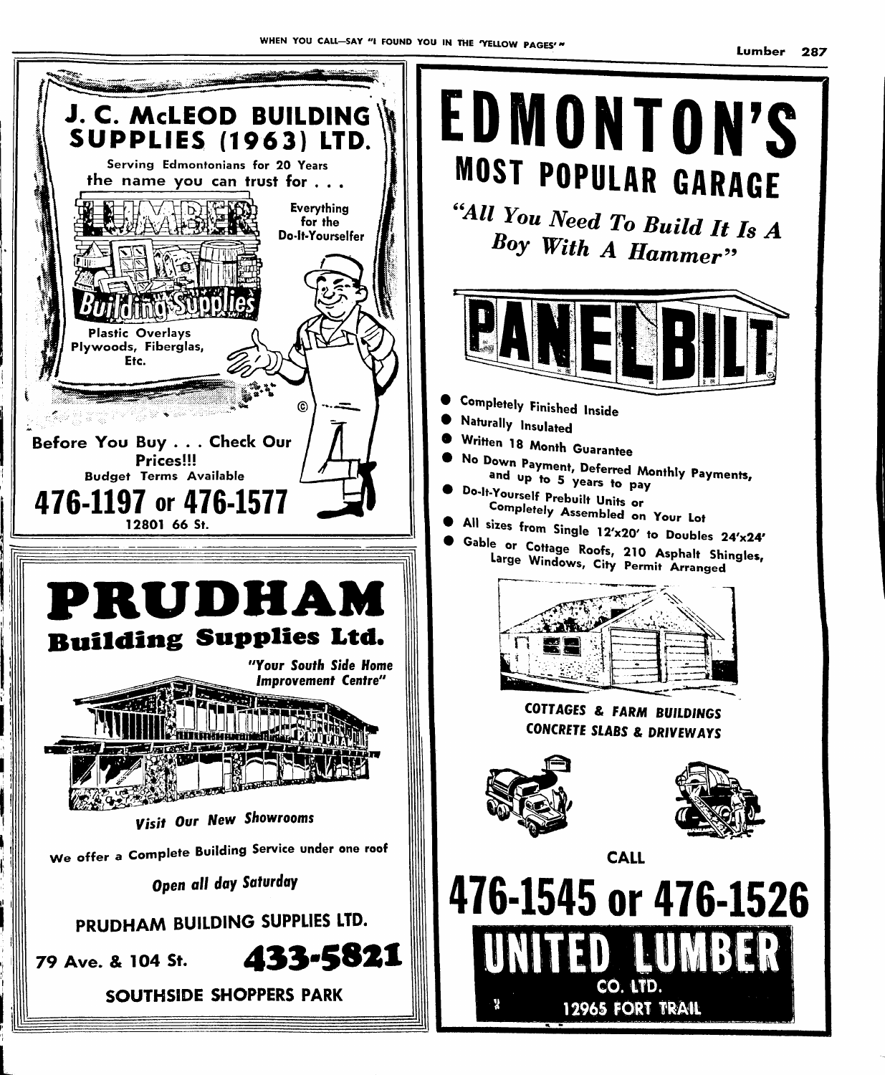

L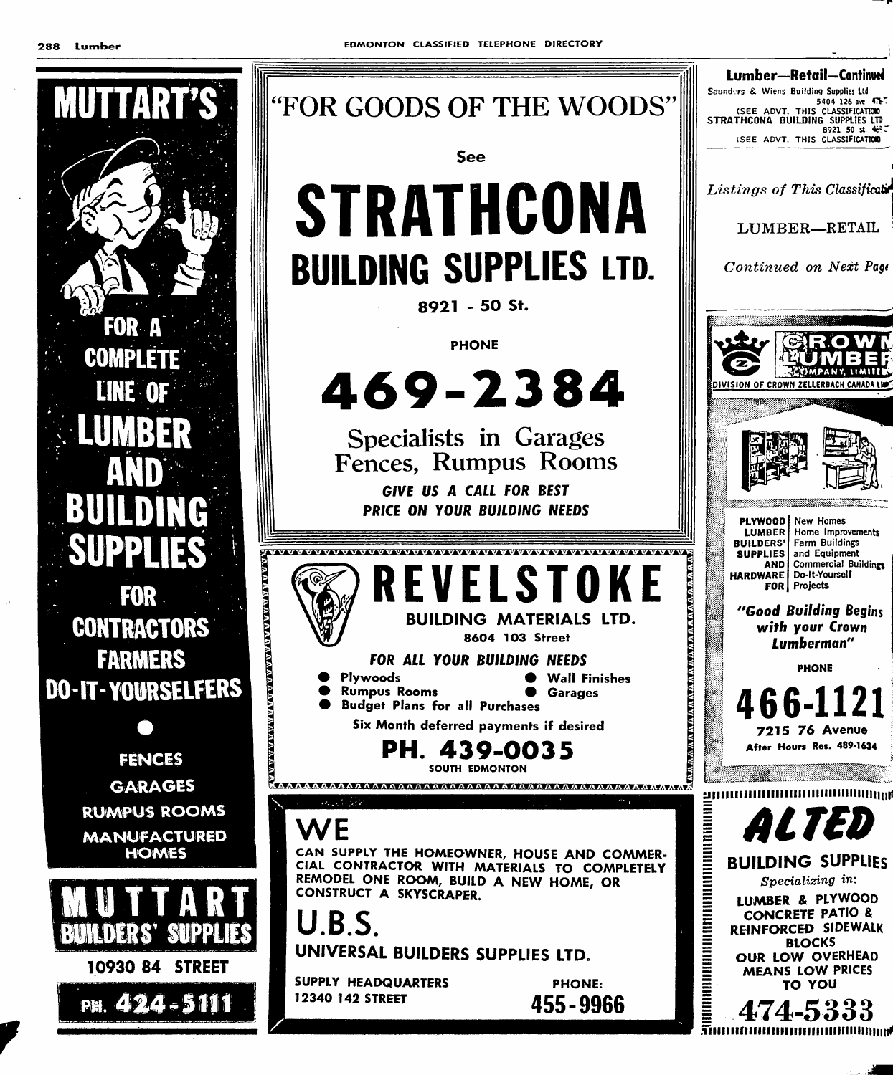